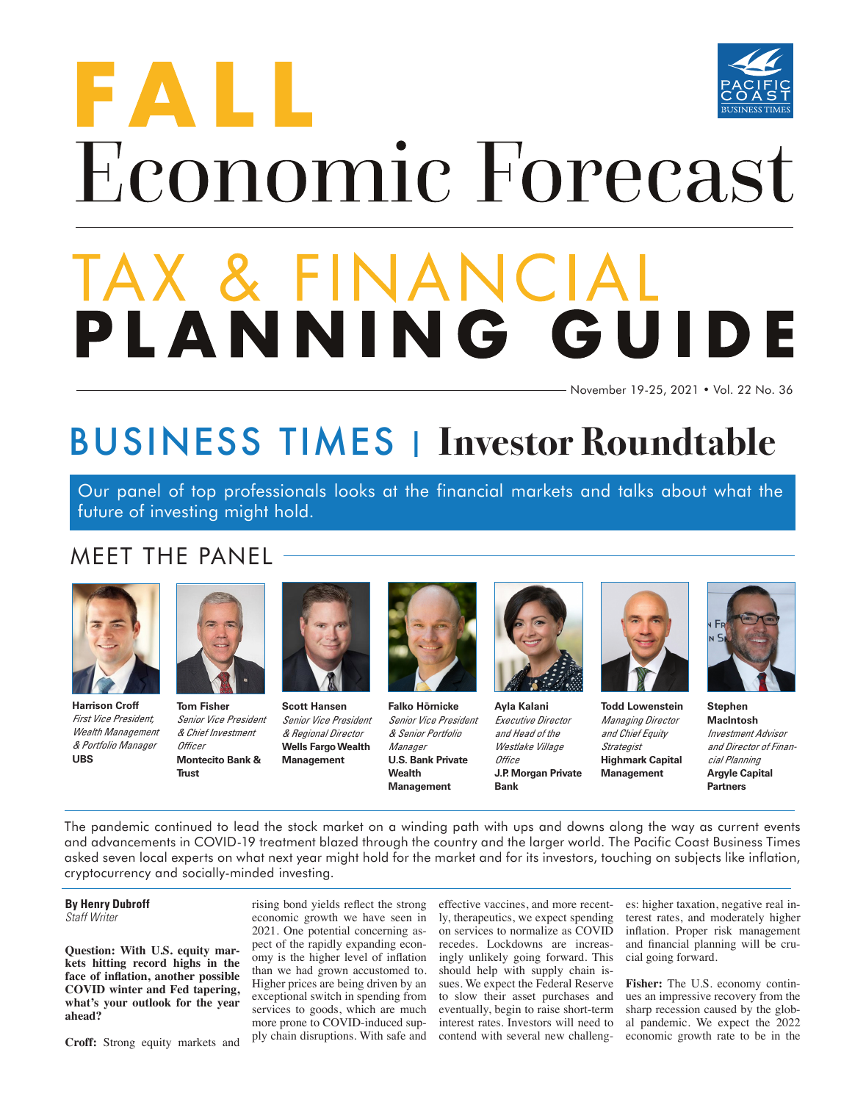# FAL. Economic Forecast TAX & FINAN PLANNING GUIDE

November 19-25, 2021 • Vol. 22 No. 36

## BUSINESS TIMES I **Investor Roundtable**

Our panel of top professionals looks at the financial markets and talks about what the future of investing might hold.

### MEET THE PANEL



**Harrison Croff** *First Vice President, Wealth Management & Portfolio Manager* **UBS**



**Tom Fisher** *Senior Vice President & Chief Investment Officer* **Montecito Bank & Trust**



**Scott Hansen** *Senior Vice President & Regional Director* **Wells Fargo Wealth Management**



**Falko Hörnicke** *Senior Vice President & Senior Portfolio Manager* **U.S. Bank Private Wealth Management**



**Ayla Kalani** *Executive Director and Head of the Westlake Village Office* **J.P. Morgan Private** 

**Bank**

**Todd Lowenstein** *Managing Director and Chief Equity Strategist*

**Highmark Capital Management**



**Stephen MacIntosh** *Investment Advisor and Director of Financial Planning* **Argyle Capital Partners**

The pandemic continued to lead the stock market on a winding path with ups and downs along the way as current events and advancements in COVID-19 treatment blazed through the country and the larger world. The Pacific Coast Business Times asked seven local experts on what next year might hold for the market and for its investors, touching on subjects like inflation, cryptocurrency and socially-minded investing.

#### **By Henry Dubroff** *Staff Writer*

**Question: With U.S. equity markets hitting record highs in the face of inflation, another possible COVID winter and Fed tapering, what's your outlook for the year ahead?**

**Croff:** Strong equity markets and

rising bond yields reflect the strong economic growth we have seen in 2021. One potential concerning aspect of the rapidly expanding economy is the higher level of inflation than we had grown accustomed to. Higher prices are being driven by an exceptional switch in spending from services to goods, which are much more prone to COVID-induced supply chain disruptions. With safe and

effective vaccines, and more recently, therapeutics, we expect spending on services to normalize as COVID recedes. Lockdowns are increasingly unlikely going forward. This should help with supply chain issues. We expect the Federal Reserve to slow their asset purchases and eventually, begin to raise short-term interest rates. Investors will need to contend with several new challeng-

es: higher taxation, negative real interest rates, and moderately higher inflation. Proper risk management and financial planning will be crucial going forward.

**Fisher:** The U.S. economy continues an impressive recovery from the sharp recession caused by the global pandemic. We expect the 2022 economic growth rate to be in the